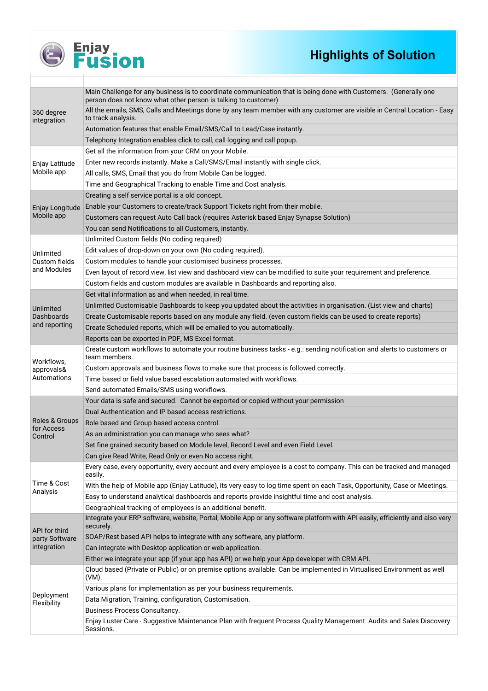

# **Enjay<br>Fusion**

## **Highlights of Solution**

| 360 degree<br>integration       | Main Challenge for any business is to coordinate communication that is being done with Customers. (Generally one<br>person does not know what other person is talking to customer) |
|---------------------------------|------------------------------------------------------------------------------------------------------------------------------------------------------------------------------------|
|                                 | All the emails, SMS, Calls and Meetings done by any team member with any customer are visible in Central Location - Easy<br>to track analysis.                                     |
|                                 | Automation features that enable Email/SMS/Call to Lead/Case instantly.                                                                                                             |
|                                 | Telephony Integration enables click to call, call logging and call popup.                                                                                                          |
|                                 | Get all the information from your CRM on your Mobile.                                                                                                                              |
| Enjay Latitude<br>Mobile app    | Enter new records instantly. Make a Call/SMS/Email instantly with single click.                                                                                                    |
|                                 | All calls, SMS, Email that you do from Mobile Can be logged.                                                                                                                       |
|                                 | Time and Geographical Tracking to enable Time and Cost analysis.                                                                                                                   |
|                                 | Creating a self service portal is a old concept.                                                                                                                                   |
| <b>Enjay Longitude</b>          | Enable your Customers to create/track Support Tickets right from their mobile.                                                                                                     |
| Mobile app                      | Customers can request Auto Call back (requires Asterisk based Enjay Synapse Solution)                                                                                              |
|                                 | You can send Notifications to all Customers, instantly.                                                                                                                            |
|                                 | Unlimited Custom fields (No coding required)                                                                                                                                       |
| Unlimited                       | Edit values of drop-down on your own (No coding required).                                                                                                                         |
| Custom fields                   | Custom modules to handle your customised business processes.                                                                                                                       |
| and Modules                     | Even layout of record view, list view and dashboard view can be modified to suite your requirement and preference.                                                                 |
|                                 | Custom fields and custom modules are available in Dashboards and reporting also.                                                                                                   |
|                                 | Get vital information as and when needed, in real time.                                                                                                                            |
| Unlimited                       | Unlimited Customisable Dashboards to keep you updated about the activities in organisation. (List view and charts)                                                                 |
| <b>Dashboards</b>               | Create Customisable reports based on any module any field. (even custom fields can be used to create reports)                                                                      |
| and reporting                   | Create Scheduled reports, which will be emailed to you automatically.                                                                                                              |
|                                 | Reports can be exported in PDF, MS Excel format.                                                                                                                                   |
| Workflows,                      | Create custom workflows to automate your routine business tasks - e.g.: sending notification and alerts to customers or<br>team members.                                           |
|                                 |                                                                                                                                                                                    |
| approvals&                      | Custom approvals and business flows to make sure that process is followed correctly.                                                                                               |
| Automations                     | Time based or field value based escalation automated with workflows.                                                                                                               |
|                                 | Send automated Emails/SMS using workflows.                                                                                                                                         |
|                                 | Your data is safe and secured. Cannot be exported or copied without your permission                                                                                                |
|                                 | Dual Authentication and IP based access restrictions.                                                                                                                              |
| Roles & Groups                  | Role based and Group based access control.                                                                                                                                         |
| for Access<br>Control           | As an administration you can manage who sees what?                                                                                                                                 |
|                                 | Set fine grained security based on Module level, Record Level and even Field Level.                                                                                                |
|                                 | Can give Read Write, Read Only or even No access right.                                                                                                                            |
|                                 | Every case, every opportunity, every account and every employee is a cost to company. This can be tracked and managed<br>easily.                                                   |
| Time & Cost                     | With the help of Mobile app (Enjay Latitude), its very easy to log time spent on each Task, Opportunity, Case or Meetings.                                                         |
| Analysis                        | Easy to understand analytical dashboards and reports provide insightful time and cost analysis.                                                                                    |
|                                 | Geographical tracking of employees is an additional benefit.                                                                                                                       |
|                                 | Integrate your ERP software, website, Portal, Mobile App or any software platform with API easily, efficiently and also very<br>securely.                                          |
| API for third<br>party Software | SOAP/Rest based API helps to integrate with any software, any platform.                                                                                                            |
| integration                     | Can integrate with Desktop application or web application.                                                                                                                         |
|                                 | Either we integrate your app (if your app has API) or we help your App developer with CRM API.                                                                                     |
|                                 | Cloud based (Private or Public) or on premise options available. Can be implemented in Virtualised Environment as well<br>(VM).                                                    |
|                                 | Various plans for implementation as per your business requirements.                                                                                                                |
| Deployment                      | Data Migration, Training, configuration, Customisation.                                                                                                                            |
| Flexibility                     | Business Process Consultancy.<br>Enjay Luster Care - Suggestive Maintenance Plan with frequent Process Quality Management Audits and Sales Discovery                               |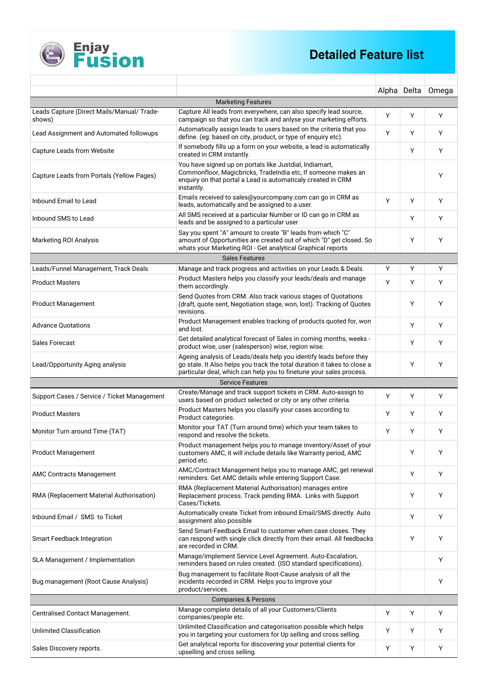

|                                                      |                                                                                                                                                                                                                       | Alpha Delta |    | Omega |  |  |  |  |
|------------------------------------------------------|-----------------------------------------------------------------------------------------------------------------------------------------------------------------------------------------------------------------------|-------------|----|-------|--|--|--|--|
| <b>Marketing Features</b>                            |                                                                                                                                                                                                                       |             |    |       |  |  |  |  |
| Leads Capture (Direct Mails/Manual/ Trade-<br>shows) | Capture All leads from everywhere, can also specify lead source,<br>campaign so that you can track and anlyse your marketing efforts.                                                                                 | Y           | Y  | Y     |  |  |  |  |
| Lead Assignment and Automated followups              | Automatically assign leads to users based on the criteria that you<br>define. (eg: based on city, product, or type of enquiry etc).                                                                                   | Y           | Y  | Y     |  |  |  |  |
| <b>Capture Leads from Website</b>                    | If somebody fills up a form on your website, a lead is automatically<br>created in CRM instantly.                                                                                                                     |             | Y  | Y     |  |  |  |  |
| Capture Leads from Portals (Yellow Pages)            | You have signed up on portals like Justdial, Indiamart,<br>Commonfloor, Magicbricks, Tradelndia etc, If someone makes an<br>enquiry on that portal a Lead is automaticaly created in CRM<br>instantly.                |             |    | Y     |  |  |  |  |
| Inbound Email to Lead                                | Emails received to sales@yourcompany.com can go in CRM as<br>leads, automatically and be assigned to a user.                                                                                                          | Y           | Y  | Y     |  |  |  |  |
| Inbound SMS to Lead                                  | All SMS received at a particular Number or ID can go in CRM as<br>leads and be assigned to a particular user                                                                                                          |             | Y  | Υ     |  |  |  |  |
| <b>Marketing ROI Analysis</b>                        | Say you spent "A" amount to create "B" leads from which "C"<br>amount of Opportunities are created out of which "D" get closed. So<br>whats your Marketing ROI - Get analytical Graphical reports                     |             | Y  | Y     |  |  |  |  |
|                                                      | <b>Sales Features</b>                                                                                                                                                                                                 |             |    |       |  |  |  |  |
| Leads/Funnel Management, Track Deals                 | Manage and track progress and activities on your Leads & Deals.                                                                                                                                                       | Y           | Υ  | Y     |  |  |  |  |
| <b>Product Masters</b>                               | Product Masters helps you classify your leads/deals and manage<br>them accordingly.                                                                                                                                   | Y           | Y  | Y     |  |  |  |  |
| <b>Product Management</b>                            | Send Quotes from CRM. Also track various stages of Quotations<br>(draft, quote sent, Negotiation stage, won, lost). Tracking of Quotes<br>revisions.                                                                  |             | Y  | Y     |  |  |  |  |
| <b>Advance Quotations</b>                            | Product Management enables tracking of products quoted for, won<br>and lost.                                                                                                                                          |             | Y  | Υ     |  |  |  |  |
| <b>Sales Forecast</b>                                | Get detailed analytical forecast of Sales in coming months, weeks -<br>product wise, user (salesperson) wise, region wise.                                                                                            |             | Y  | Υ     |  |  |  |  |
| Lead/Opportunity Aging analysis                      | Ageing analysis of Leads/deals help you identify leads before they<br>go stale. It Also helps you track the total duration it takes to close a<br>particular deal, which can help you to finetune your sales process. |             | Y  | Y     |  |  |  |  |
|                                                      | <b>Service Features</b>                                                                                                                                                                                               |             |    |       |  |  |  |  |
| Support Cases / Service / Ticket Management          | Create/Manage and track support tickets in CRM. Auto-assign to<br>users based on product selected or city or any other criteria.                                                                                      | Υ           | Y  | Y     |  |  |  |  |
| <b>Product Masters</b>                               | Product Masters helps you classify your cases according to<br>Product categories.                                                                                                                                     | Υ           | Y  | Υ     |  |  |  |  |
| Monitor Turn around Time (TAT)                       | Monitor your TAT (Turn around time) which your team takes to<br>respond and resolve the tickets.                                                                                                                      | Y           | Y  | Y     |  |  |  |  |
| Product Management                                   | Product management helps you to manage inventory/Asset of your<br>customers AMC, it will include details like Warranty period, AMC<br>period etc.                                                                     |             | Y. |       |  |  |  |  |
| <b>AMC Contracts Management</b>                      | AMC/Contract Management helps you to manage AMC, get renewal<br>reminders. Get AMC details while entering Support Case.                                                                                               |             | Y  | Y     |  |  |  |  |
| RMA (Replacement Material Authorisation)             | RMA (Replacement Material Authorisation) manages entire<br>Replacement process. Track pending RMA. Links with Support<br>Cases/Tickets.                                                                               |             | Y  | Y     |  |  |  |  |
| Inbound Email / SMS to Ticket                        | Automatically create Ticket from inbound Email/SMS directly. Auto<br>assignment also possible                                                                                                                         |             | Y  | Y     |  |  |  |  |
| <b>Smart Feedback Integration</b>                    | Send Smart-Feedback Email to customer when case closes. They<br>can respond with single click directly from their email. All feedbacks<br>are recorded in CRM.                                                        |             | Y  | Y     |  |  |  |  |
| SLA Management / Implementation                      | Manage/implement Service Level Agreement. Auto-Escalation,<br>reminders based on rules created. (ISO standard specifications).                                                                                        |             |    | Y     |  |  |  |  |
| Bug management (Root Cause Analysis)                 | Bug management to facilitate Root-Cause analysis of all the<br>incidents recorded in CRM. Helps you to improve your<br>product/services.                                                                              |             |    | Y     |  |  |  |  |
| <b>Companies &amp; Persons</b>                       |                                                                                                                                                                                                                       |             |    |       |  |  |  |  |
| Centralised Contact Management.                      | Manage complete details of all your Customers/Clients<br>companies/people etc.                                                                                                                                        | Y           | Y  | Y     |  |  |  |  |
| <b>Unlimited Classification</b>                      | Unlimited Classification and categorisation possible which helps<br>you in targeting your customers for Up selling and cross selling.                                                                                 | Υ           | Y  | Y     |  |  |  |  |
| Sales Discovery reports.                             | Get analytical reports for discovering your potential clients for<br>upselling and cross selling.                                                                                                                     | Υ           | Υ  | Y     |  |  |  |  |

**Enjay<br>Fusion** 

E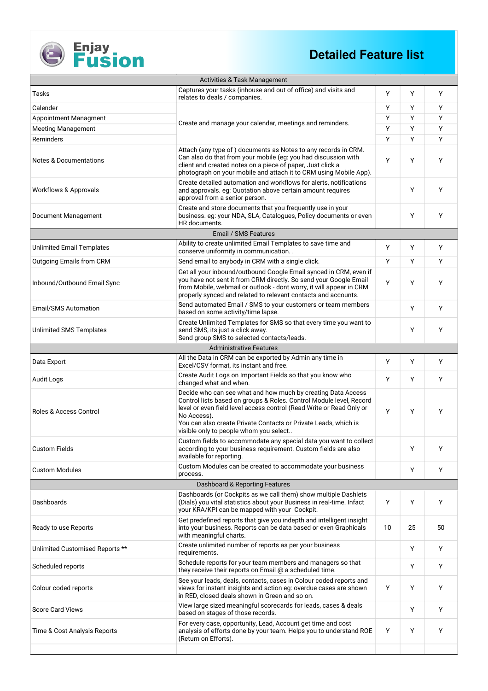

### **Detailed Feature list**

| <b>Activities &amp; Task Management</b> |                                                                                                                                                                                                                                                                                                                                         |    |    |    |  |  |
|-----------------------------------------|-----------------------------------------------------------------------------------------------------------------------------------------------------------------------------------------------------------------------------------------------------------------------------------------------------------------------------------------|----|----|----|--|--|
| Tasks                                   | Captures your tasks (inhouse and out of office) and visits and<br>relates to deals / companies.                                                                                                                                                                                                                                         | Y  | Y  | Y  |  |  |
| Calender                                |                                                                                                                                                                                                                                                                                                                                         |    | Y  | Y  |  |  |
| Appointment Managment                   |                                                                                                                                                                                                                                                                                                                                         | Y  | Y  | Y  |  |  |
| <b>Meeting Management</b>               | Create and manage your calendar, meetings and reminders.                                                                                                                                                                                                                                                                                | Y  | Y  | Y  |  |  |
| Reminders                               |                                                                                                                                                                                                                                                                                                                                         | Y  | Y  | Y  |  |  |
| <b>Notes &amp; Documentations</b>       | Attach (any type of) documents as Notes to any records in CRM.<br>Can also do that from your mobile (eg: you had discussion with<br>client and created notes on a piece of paper, Just click a<br>photograph on your mobile and attach it to CRM using Mobile App).                                                                     | Y  | Y  | Y  |  |  |
| <b>Workflows &amp; Approvals</b>        | Create detailed automation and workflows for alerts, notifications<br>and approvals. eg: Quotation above certain amount requires<br>approval from a senior person.                                                                                                                                                                      |    | Y  | Y  |  |  |
| Document Management                     | Create and store documents that you frequently use in your<br>business. eg: your NDA, SLA, Catalogues, Policy documents or even<br>HR documents.                                                                                                                                                                                        |    | Y  | Y  |  |  |
|                                         | Email / SMS Features                                                                                                                                                                                                                                                                                                                    |    |    |    |  |  |
| <b>Unlimited Email Templates</b>        | Ability to create unlimited Email Templates to save time and<br>conserve uniformity in communication. .                                                                                                                                                                                                                                 | Y  | Υ  | Y  |  |  |
| Outgoing Emails from CRM                | Send email to anybody in CRM with a single click.                                                                                                                                                                                                                                                                                       | Y  | Y  | Y  |  |  |
| Inbound/Outbound Email Sync             | Get all your inbound/outbound Google Email synced in CRM, even if<br>you have not sent it from CRM directly. So send your Google Email<br>from Mobile, webmail or outlook - dont worry, it will appear in CRM<br>properly synced and related to relevant contacts and accounts.                                                         | Y  | Y  | Υ  |  |  |
| <b>Email/SMS Automation</b>             | Send automated Email / SMS to your customers or team members<br>based on some activity/time lapse.                                                                                                                                                                                                                                      |    | Υ  | Y  |  |  |
| <b>Unlimited SMS Templates</b>          | Create Unlimited Templates for SMS so that every time you want to<br>send SMS, its just a click away.<br>Send group SMS to selected contacts/leads.                                                                                                                                                                                     |    | Y  | Y  |  |  |
|                                         | <b>Administrative Features</b>                                                                                                                                                                                                                                                                                                          |    |    |    |  |  |
| Data Export                             | All the Data in CRM can be exported by Admin any time in<br>Excel/CSV format, its instant and free.                                                                                                                                                                                                                                     | Υ  | Υ  | Y  |  |  |
| <b>Audit Logs</b>                       | Create Audit Logs on Important Fields so that you know who<br>changed what and when.                                                                                                                                                                                                                                                    | Y  | Y  | Y  |  |  |
| <b>Roles &amp; Access Control</b>       | Decide who can see what and how much by creating Data Access<br>Control lists based on groups & Roles. Control Module level, Record<br>level or even field level access control (Read Write or Read Only or<br>No Access).<br>You can also create Private Contacts or Private Leads, which is<br>visible only to people whom you select | Y  | Y  | Υ  |  |  |
| <b>Custom Fields</b>                    | Custom fields to accommodate any special data you want to collect<br>according to your business requirement. Custom fields are also<br>available for reporting.                                                                                                                                                                         |    | Y  | Y  |  |  |
| <b>Custom Modules</b>                   | Custom Modules can be created to accommodate your business<br>process.                                                                                                                                                                                                                                                                  |    | Y  | Y  |  |  |
|                                         | Dashboard & Reporting Features                                                                                                                                                                                                                                                                                                          |    |    |    |  |  |
| Dashboards                              | Dashboards (or Cockpits as we call them) show multiple Dashlets<br>(Dials) you vital statistics about your Business in real-time. Infact<br>your KRA/KPI can be mapped with your Cockpit.                                                                                                                                               | Υ  | Υ  | Y  |  |  |
| Ready to use Reports                    | Get predefined reports that give you indepth and intelligent insight<br>into your business. Reports can be data based or even Graphicals<br>with meaningful charts.                                                                                                                                                                     | 10 | 25 | 50 |  |  |
| Unlimited Customised Reports **         | Create unlimited number of reports as per your business<br>requirements.                                                                                                                                                                                                                                                                |    | Y  | Y  |  |  |
| Scheduled reports                       | Schedule reports for your team members and managers so that<br>they receive their reports on Email @ a scheduled time.                                                                                                                                                                                                                  |    | Y  | Y  |  |  |
| Colour coded reports                    | See your leads, deals, contacts, cases in Colour coded reports and<br>views for instant insights and action eg: overdue cases are shown<br>in RED, closed deals shown in Green and so on.                                                                                                                                               | Y  | Υ  | Y  |  |  |
| <b>Score Card Views</b>                 | View large sized meaningful scorecards for leads, cases & deals<br>based on stages of those records.                                                                                                                                                                                                                                    |    | Y  | Y  |  |  |
| Time & Cost Analysis Reports            | For every case, opportunity, Lead, Account get time and cost<br>analysis of efforts done by your team. Helps you to understand ROE<br>(Return on Efforts).                                                                                                                                                                              | Υ  | Y  | Υ  |  |  |
|                                         |                                                                                                                                                                                                                                                                                                                                         |    |    |    |  |  |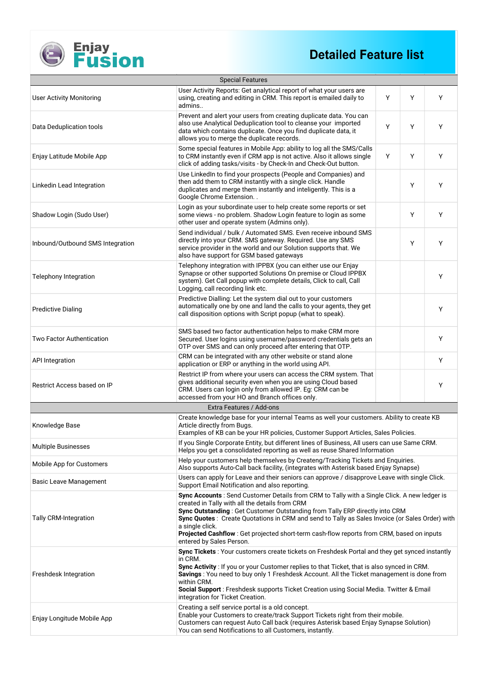### **Detailed Feature list**

| <b>Special Features</b>                                                                                                                                                                                                                                                                                                                                                                                                                                                                                    |                                                                                                                                                                                                                                                        |   |   |   |  |  |  |
|------------------------------------------------------------------------------------------------------------------------------------------------------------------------------------------------------------------------------------------------------------------------------------------------------------------------------------------------------------------------------------------------------------------------------------------------------------------------------------------------------------|--------------------------------------------------------------------------------------------------------------------------------------------------------------------------------------------------------------------------------------------------------|---|---|---|--|--|--|
| <b>User Activity Monitoring</b>                                                                                                                                                                                                                                                                                                                                                                                                                                                                            | User Activity Reports: Get analytical report of what your users are<br>using, creating and editing in CRM. This report is emailed daily to<br>admins                                                                                                   | Y | Y | Y |  |  |  |
| Data Deduplication tools                                                                                                                                                                                                                                                                                                                                                                                                                                                                                   | Prevent and alert your users from creating duplicate data. You can<br>also use Analytical Deduplication tool to cleanse your imported<br>data which contains duplicate. Once you find duplicate data, it<br>allows you to merge the duplicate records. | Y | Υ | Y |  |  |  |
| Enjay Latitude Mobile App                                                                                                                                                                                                                                                                                                                                                                                                                                                                                  | Some special features in Mobile App: ability to log all the SMS/Calls<br>to CRM instantly even if CRM app is not active. Also it allows single<br>click of adding tasks/visits - by Check-In and Check-Out button.                                     | Y | Y | Y |  |  |  |
| Linkedin Lead Integration                                                                                                                                                                                                                                                                                                                                                                                                                                                                                  | Use LinkedIn to find your prospects (People and Companies) and<br>then add them to CRM instantly with a single click. Handle<br>duplicates and merge them instantly and inteligently. This is a<br>Google Chrome Extension                             |   | Y | Y |  |  |  |
| Shadow Login (Sudo User)                                                                                                                                                                                                                                                                                                                                                                                                                                                                                   | Login as your subordinate user to help create some reports or set<br>some views - no problem. Shadow Login feature to login as some<br>other user and operate system (Admins only).                                                                    |   | Y | Y |  |  |  |
| Inbound/Outbound SMS Integration                                                                                                                                                                                                                                                                                                                                                                                                                                                                           | Send individual / bulk / Automated SMS. Even receive inbound SMS<br>directly into your CRM. SMS gateway. Required. Use any SMS<br>service provider in the world and our Solution supports that. We<br>also have support for GSM based gateways         |   | Y | Y |  |  |  |
| <b>Telephony Integration</b>                                                                                                                                                                                                                                                                                                                                                                                                                                                                               | Telephony integration with IPPBX (you can either use our Enjay<br>Synapse or other supported Solutions On premise or Cloud IPPBX<br>system). Get Call popup with complete details, Click to call, Call<br>Logging, call recording link etc.            |   |   | Y |  |  |  |
| <b>Predictive Dialing</b>                                                                                                                                                                                                                                                                                                                                                                                                                                                                                  | Predictive Dialling: Let the system dial out to your customers<br>automatically one by one and land the calls to your agents, they get<br>call disposition options with Script popup (what to speak).                                                  |   |   | Y |  |  |  |
| <b>Two Factor Authentication</b>                                                                                                                                                                                                                                                                                                                                                                                                                                                                           | SMS based two factor authentication helps to make CRM more<br>Secured. User logins using username/password credentials gets an<br>OTP over SMS and can only proceed after entering that OTP.                                                           |   |   | Y |  |  |  |
| <b>API Integration</b>                                                                                                                                                                                                                                                                                                                                                                                                                                                                                     | CRM can be integrated with any other website or stand alone<br>application or ERP or anything in the world using API.                                                                                                                                  |   |   | Y |  |  |  |
| Restrict Access based on IP                                                                                                                                                                                                                                                                                                                                                                                                                                                                                | Restrict IP from where your users can access the CRM system. That<br>gives additional security even when you are using Cloud based<br>CRM. Users can login only from allowed IP. Eg: CRM can be<br>accessed from your HO and Branch offices only.      |   |   | Y |  |  |  |
|                                                                                                                                                                                                                                                                                                                                                                                                                                                                                                            | Extra Features / Add-ons                                                                                                                                                                                                                               |   |   |   |  |  |  |
| Knowledge Base                                                                                                                                                                                                                                                                                                                                                                                                                                                                                             | Create knowledge base for your internal Teams as well your customers. Ability to create KB<br>Article directly from Bugs.<br>Examples of KB can be your HR policies, Customer Support Articles, Sales Policies.                                        |   |   |   |  |  |  |
| <b>Multiple Businesses</b>                                                                                                                                                                                                                                                                                                                                                                                                                                                                                 | If you Single Corporate Entity, but different lines of Business, All users can use Same CRM.<br>Helps you get a consolidated reporting as well as reuse Shared Information                                                                             |   |   |   |  |  |  |
| Mobile App for Customers                                                                                                                                                                                                                                                                                                                                                                                                                                                                                   | Help your customers help themselves by Createng/Tracking Tickets and Enquiries.<br>Also supports Auto-Call back facility, (integrates with Asterisk based Enjay Synapse)                                                                               |   |   |   |  |  |  |
| Basic Leave Management                                                                                                                                                                                                                                                                                                                                                                                                                                                                                     | Users can apply for Leave and their seniors can approve / disapprove Leave with single Click.<br>Support Email Notification and also reporting.                                                                                                        |   |   |   |  |  |  |
| Sync Accounts : Send Customer Details from CRM to Tally with a Single Click. A new ledger is<br>created in Tally with all the details from CRM<br>Sync Outstanding: Get Customer Outstanding from Tally ERP directly into CRM<br><b>Tally CRM-Integration</b><br>Sync Quotes: Create Quotations in CRM and send to Tally as Sales Invoice (or Sales Order) with<br>a single click.<br>Projected Cashflow: Get projected short-term cash-flow reports from CRM, based on inputs<br>entered by Sales Person. |                                                                                                                                                                                                                                                        |   |   |   |  |  |  |
| Sync Tickets: Your customers create tickets on Freshdesk Portal and they get synced instantly<br>in CRM.<br>Sync Activity : If you or your Customer replies to that Ticket, that is also synced in CRM.<br>Freshdesk Integration<br>Savings: You need to buy only 1 Freshdesk Account. All the Ticket management is done from<br>within CRM.<br>Social Support: Freshdesk supports Ticket Creation using Social Media. Twitter & Email<br>integration for Ticket Creation.                                 |                                                                                                                                                                                                                                                        |   |   |   |  |  |  |
| Creating a self service portal is a old concept.<br>Enable your Customers to create/track Support Tickets right from their mobile.<br>Enjay Longitude Mobile App<br>Customers can request Auto Call back (requires Asterisk based Enjay Synapse Solution)<br>You can send Notifications to all Customers, instantly.                                                                                                                                                                                       |                                                                                                                                                                                                                                                        |   |   |   |  |  |  |

**Enjay<br>Fusion** 

E